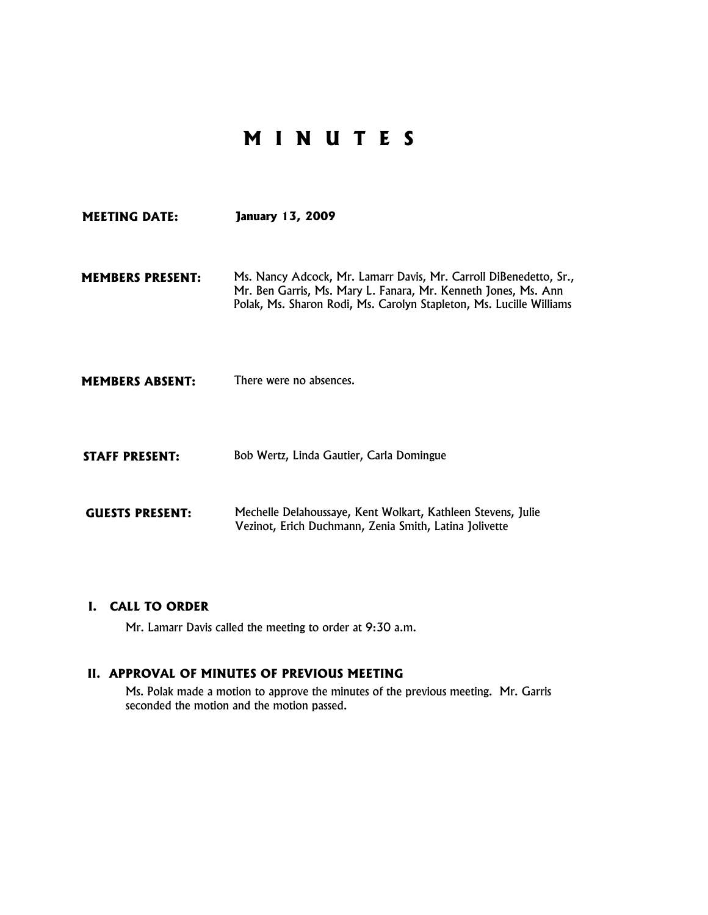# **M I N U T E S**

| <b>MEETING DATE:</b>    | <b>January 13, 2009</b>                                                                                                                                                                                    |
|-------------------------|------------------------------------------------------------------------------------------------------------------------------------------------------------------------------------------------------------|
| <b>MEMBERS PRESENT:</b> | Ms. Nancy Adcock, Mr. Lamarr Davis, Mr. Carroll DiBenedetto, Sr.,<br>Mr. Ben Garris, Ms. Mary L. Fanara, Mr. Kenneth Jones, Ms. Ann<br>Polak, Ms. Sharon Rodi, Ms. Carolyn Stapleton, Ms. Lucille Williams |
| <b>MEMBERS ABSENT:</b>  | There were no absences.                                                                                                                                                                                    |
| <b>STAFF PRESENT:</b>   | Bob Wertz, Linda Gautier, Carla Domingue                                                                                                                                                                   |
| <b>GUESTS PRESENT:</b>  | Mechelle Delahoussaye, Kent Wolkart, Kathleen Stevens, Julie<br>Vezinot, Erich Duchmann, Zenia Smith, Latina Jolivette                                                                                     |

## **I. CALL TO ORDER**

Mr. Lamarr Davis called the meeting to order at 9:30 a.m.

## **II. APPROVAL OF MINUTES OF PREVIOUS MEETING**

Ms. Polak made a motion to approve the minutes of the previous meeting. Mr. Garris seconded the motion and the motion passed.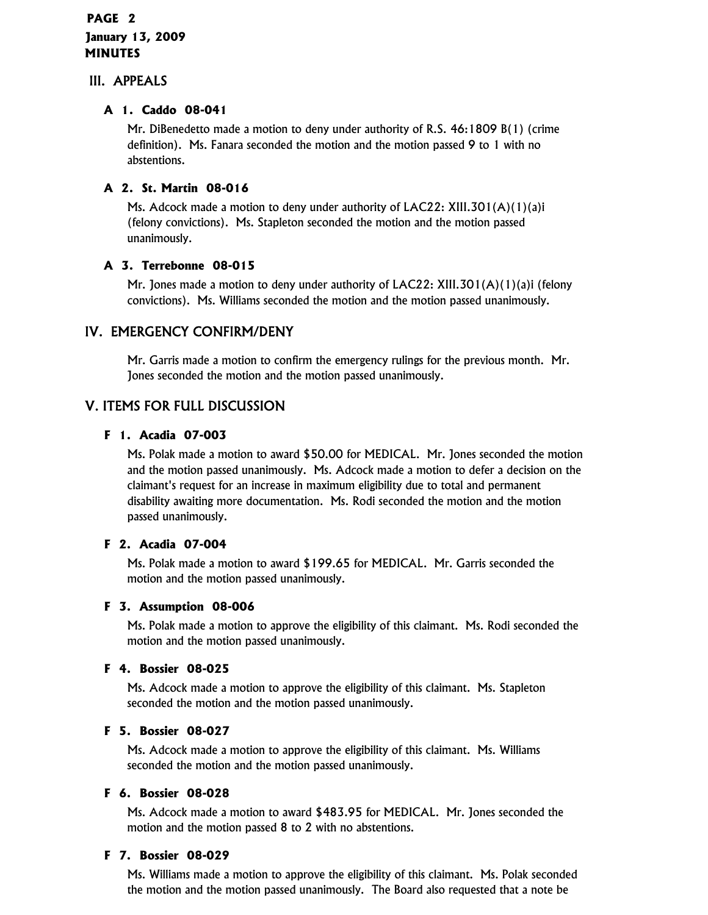## **PAGE 2 January 13, 2009 MINUTES**

## III. APPEALS

## **A 1. Caddo 08-041**

Mr. DiBenedetto made a motion to deny under authority of R.S. 46:1809 B(1) (crime definition). Ms. Fanara seconded the motion and the motion passed 9 to 1 with no abstentions.

## **A 2. St. Martin 08-016**

Ms. Adcock made a motion to deny under authority of LAC22: XIII.301(A)(1)(a)i (felony convictions). Ms. Stapleton seconded the motion and the motion passed unanimously.

## **A 3. Terrebonne 08-015**

Mr. Jones made a motion to deny under authority of LAC22: XIII.301(A)(1)(a)i (felony convictions). Ms. Williams seconded the motion and the motion passed unanimously.

## IV. EMERGENCY CONFIRM/DENY

Mr. Garris made a motion to confirm the emergency rulings for the previous month. Mr. Jones seconded the motion and the motion passed unanimously.

## V. ITEMS FOR FULL DISCUSSION

## **F 1. Acadia 07-003**

Ms. Polak made a motion to award \$50.00 for MEDICAL. Mr. Jones seconded the motion and the motion passed unanimously. Ms. Adcock made a motion to defer a decision on the claimant's request for an increase in maximum eligibility due to total and permanent disability awaiting more documentation. Ms. Rodi seconded the motion and the motion passed unanimously.

## **F 2. Acadia 07-004**

Ms. Polak made a motion to award \$199.65 for MEDICAL. Mr. Garris seconded the motion and the motion passed unanimously.

## **F 3. Assumption 08-006**

Ms. Polak made a motion to approve the eligibility of this claimant. Ms. Rodi seconded the motion and the motion passed unanimously.

## **F 4. Bossier 08-025**

Ms. Adcock made a motion to approve the eligibility of this claimant. Ms. Stapleton seconded the motion and the motion passed unanimously.

## **F 5. Bossier 08-027**

Ms. Adcock made a motion to approve the eligibility of this claimant. Ms. Williams seconded the motion and the motion passed unanimously.

## **F 6. Bossier 08-028**

Ms. Adcock made a motion to award \$483.95 for MEDICAL. Mr. Jones seconded the motion and the motion passed 8 to 2 with no abstentions.

## **F 7. Bossier 08-029**

Ms. Williams made a motion to approve the eligibility of this claimant. Ms. Polak seconded the motion and the motion passed unanimously. The Board also requested that a note be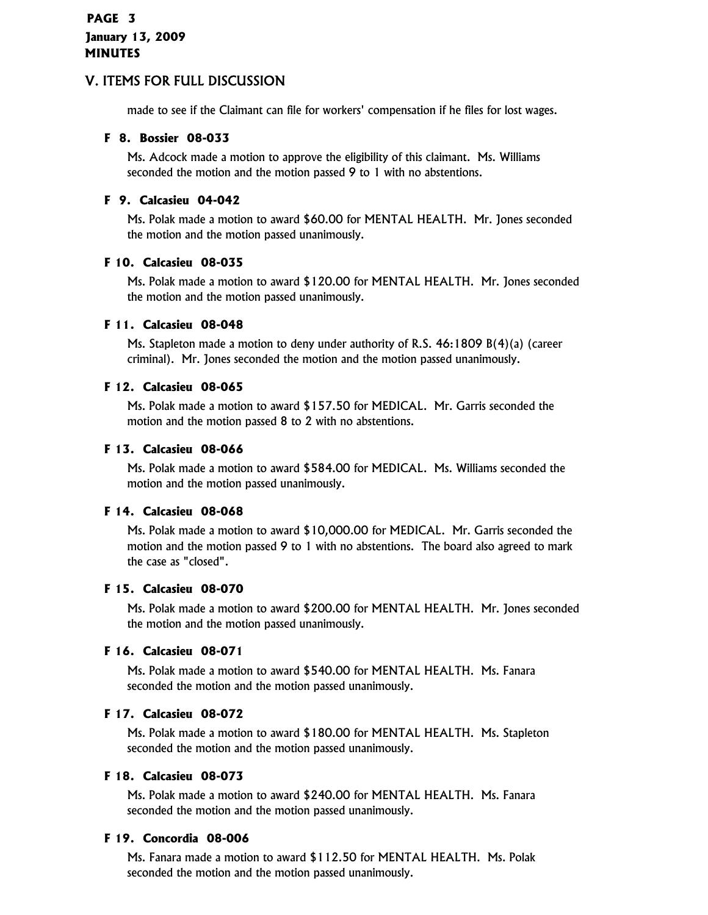made to see if the Claimant can file for workers' compensation if he files for lost wages.

## **F 8. Bossier 08-033**

Ms. Adcock made a motion to approve the eligibility of this claimant. Ms. Williams seconded the motion and the motion passed 9 to 1 with no abstentions.

## **F 9. Calcasieu 04-042**

Ms. Polak made a motion to award \$60.00 for MENTAL HEALTH. Mr. Jones seconded the motion and the motion passed unanimously.

#### **F 10. Calcasieu 08-035**

Ms. Polak made a motion to award \$120.00 for MENTAL HEALTH. Mr. Jones seconded the motion and the motion passed unanimously.

#### **F 11. Calcasieu 08-048**

Ms. Stapleton made a motion to deny under authority of R.S. 46:1809 B(4)(a) (career criminal). Mr. Jones seconded the motion and the motion passed unanimously.

## **F 12. Calcasieu 08-065**

Ms. Polak made a motion to award \$157.50 for MEDICAL. Mr. Garris seconded the motion and the motion passed 8 to 2 with no abstentions.

#### **F 13. Calcasieu 08-066**

Ms. Polak made a motion to award \$584.00 for MEDICAL. Ms. Williams seconded the motion and the motion passed unanimously.

## **F 14. Calcasieu 08-068**

Ms. Polak made a motion to award \$10,000.00 for MEDICAL. Mr. Garris seconded the motion and the motion passed 9 to 1 with no abstentions. The board also agreed to mark the case as "closed".

#### **F 15. Calcasieu 08-070**

Ms. Polak made a motion to award \$200.00 for MENTAL HEALTH. Mr. Jones seconded the motion and the motion passed unanimously.

## **F 16. Calcasieu 08-071**

Ms. Polak made a motion to award \$540.00 for MENTAL HEALTH. Ms. Fanara seconded the motion and the motion passed unanimously.

## **F 17. Calcasieu 08-072**

Ms. Polak made a motion to award \$180.00 for MENTAL HEALTH. Ms. Stapleton seconded the motion and the motion passed unanimously.

## **F 18. Calcasieu 08-073**

Ms. Polak made a motion to award \$240.00 for MENTAL HEALTH. Ms. Fanara seconded the motion and the motion passed unanimously.

#### **F 19. Concordia 08-006**

Ms. Fanara made a motion to award \$112.50 for MENTAL HEALTH. Ms. Polak seconded the motion and the motion passed unanimously.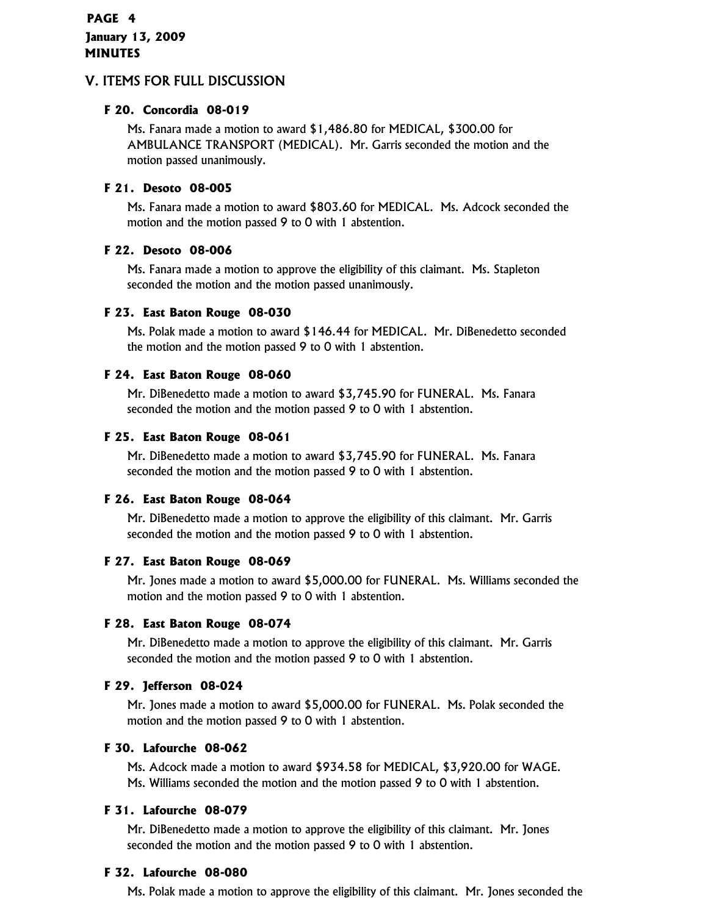## **PAGE 4 January 13, 2009 MINUTES**

## V. ITEMS FOR FULL DISCUSSION

## **F 20. Concordia 08-019**

Ms. Fanara made a motion to award \$1,486.80 for MEDICAL, \$300.00 for AMBULANCE TRANSPORT (MEDICAL). Mr. Garris seconded the motion and the motion passed unanimously.

#### **F 21. Desoto 08-005**

Ms. Fanara made a motion to award \$803.60 for MEDICAL. Ms. Adcock seconded the motion and the motion passed 9 to 0 with 1 abstention.

#### **F 22. Desoto 08-006**

Ms. Fanara made a motion to approve the eligibility of this claimant. Ms. Stapleton seconded the motion and the motion passed unanimously.

#### **F 23. East Baton Rouge 08-030**

Ms. Polak made a motion to award \$146.44 for MEDICAL. Mr. DiBenedetto seconded the motion and the motion passed 9 to 0 with 1 abstention.

#### **F 24. East Baton Rouge 08-060**

Mr. DiBenedetto made a motion to award \$3,745.90 for FUNERAL. Ms. Fanara seconded the motion and the motion passed 9 to 0 with 1 abstention.

#### **F 25. East Baton Rouge 08-061**

Mr. DiBenedetto made a motion to award \$3,745.90 for FUNERAL. Ms. Fanara seconded the motion and the motion passed 9 to 0 with 1 abstention.

## **F 26. East Baton Rouge 08-064**

Mr. DiBenedetto made a motion to approve the eligibility of this claimant. Mr. Garris seconded the motion and the motion passed 9 to 0 with 1 abstention.

#### **F 27. East Baton Rouge 08-069**

Mr. Jones made a motion to award \$5,000.00 for FUNERAL. Ms. Williams seconded the motion and the motion passed 9 to 0 with 1 abstention.

#### **F 28. East Baton Rouge 08-074**

Mr. DiBenedetto made a motion to approve the eligibility of this claimant. Mr. Garris seconded the motion and the motion passed 9 to 0 with 1 abstention.

#### **F 29. Jefferson 08-024**

Mr. Jones made a motion to award \$5,000.00 for FUNERAL. Ms. Polak seconded the motion and the motion passed 9 to 0 with 1 abstention.

#### **F 30. Lafourche 08-062**

Ms. Adcock made a motion to award \$934.58 for MEDICAL, \$3,920.00 for WAGE. Ms. Williams seconded the motion and the motion passed 9 to 0 with 1 abstention.

## **F 31. Lafourche 08-079**

Mr. DiBenedetto made a motion to approve the eligibility of this claimant. Mr. Jones seconded the motion and the motion passed 9 to 0 with 1 abstention.

#### **F 32. Lafourche 08-080**

Ms. Polak made a motion to approve the eligibility of this claimant. Mr. Jones seconded the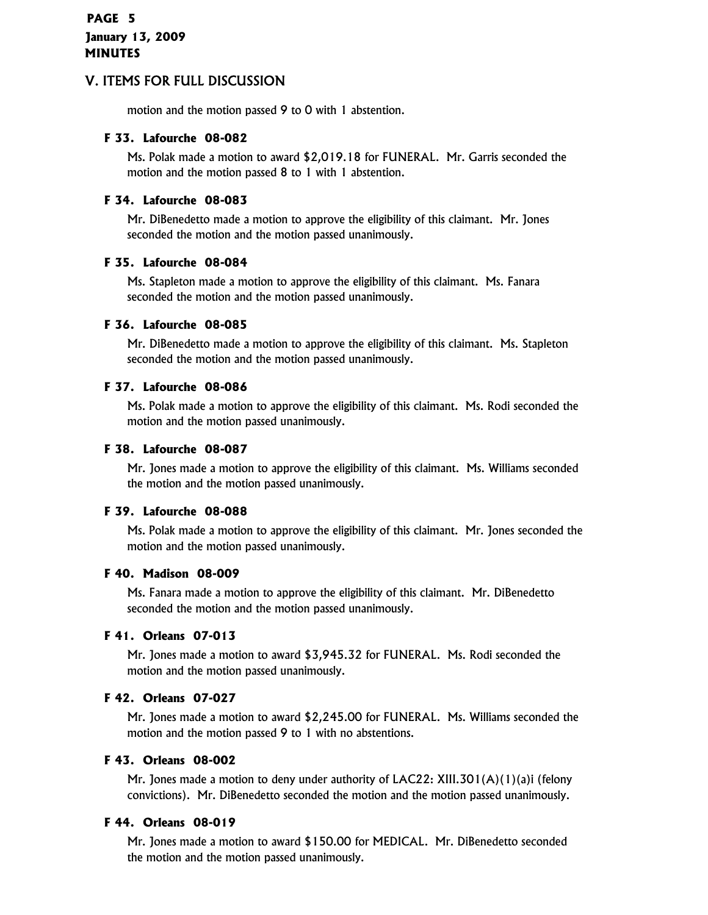motion and the motion passed 9 to 0 with 1 abstention.

#### **F 33. Lafourche 08-082**

Ms. Polak made a motion to award \$2,019.18 for FUNERAL. Mr. Garris seconded the motion and the motion passed 8 to 1 with 1 abstention.

#### **F 34. Lafourche 08-083**

Mr. DiBenedetto made a motion to approve the eligibility of this claimant. Mr. Jones seconded the motion and the motion passed unanimously.

#### **F 35. Lafourche 08-084**

Ms. Stapleton made a motion to approve the eligibility of this claimant. Ms. Fanara seconded the motion and the motion passed unanimously.

#### **F 36. Lafourche 08-085**

Mr. DiBenedetto made a motion to approve the eligibility of this claimant. Ms. Stapleton seconded the motion and the motion passed unanimously.

#### **F 37. Lafourche 08-086**

Ms. Polak made a motion to approve the eligibility of this claimant. Ms. Rodi seconded the motion and the motion passed unanimously.

#### **F 38. Lafourche 08-087**

Mr. Jones made a motion to approve the eligibility of this claimant. Ms. Williams seconded the motion and the motion passed unanimously.

#### **F 39. Lafourche 08-088**

Ms. Polak made a motion to approve the eligibility of this claimant. Mr. Jones seconded the motion and the motion passed unanimously.

#### **F 40. Madison 08-009**

Ms. Fanara made a motion to approve the eligibility of this claimant. Mr. DiBenedetto seconded the motion and the motion passed unanimously.

#### **F 41. Orleans 07-013**

Mr. Jones made a motion to award \$3,945.32 for FUNERAL. Ms. Rodi seconded the motion and the motion passed unanimously.

#### **F 42. Orleans 07-027**

Mr. Jones made a motion to award \$2,245.00 for FUNERAL. Ms. Williams seconded the motion and the motion passed 9 to 1 with no abstentions.

#### **F 43. Orleans 08-002**

Mr. Jones made a motion to deny under authority of LAC22: XIII.301(A)(1)(a)i (felony convictions). Mr. DiBenedetto seconded the motion and the motion passed unanimously.

#### **F 44. Orleans 08-019**

Mr. Jones made a motion to award \$150.00 for MEDICAL. Mr. DiBenedetto seconded the motion and the motion passed unanimously.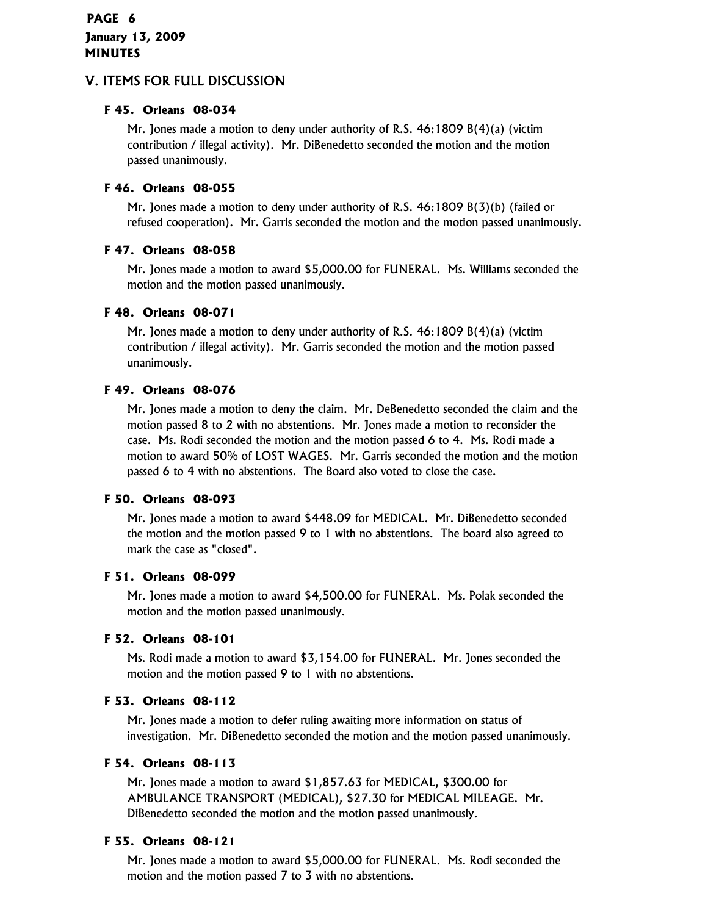## **PAGE 6 January 13, 2009 MINUTES**

## V. ITEMS FOR FULL DISCUSSION

## **F 45. Orleans 08-034**

Mr. Jones made a motion to deny under authority of R.S. 46:1809 B(4)(a) (victim contribution / illegal activity). Mr. DiBenedetto seconded the motion and the motion passed unanimously.

## **F 46. Orleans 08-055**

Mr. Jones made a motion to deny under authority of R.S. 46:1809 B(3)(b) (failed or refused cooperation). Mr. Garris seconded the motion and the motion passed unanimously.

## **F 47. Orleans 08-058**

Mr. Jones made a motion to award \$5,000.00 for FUNERAL. Ms. Williams seconded the motion and the motion passed unanimously.

## **F 48. Orleans 08-071**

Mr. Jones made a motion to deny under authority of R.S. 46:1809 B(4)(a) (victim contribution / illegal activity). Mr. Garris seconded the motion and the motion passed unanimously.

## **F 49. Orleans 08-076**

Mr. Jones made a motion to deny the claim. Mr. DeBenedetto seconded the claim and the motion passed 8 to 2 with no abstentions. Mr. Jones made a motion to reconsider the case. Ms. Rodi seconded the motion and the motion passed 6 to 4. Ms. Rodi made a motion to award 50% of LOST WAGES. Mr. Garris seconded the motion and the motion passed 6 to 4 with no abstentions. The Board also voted to close the case.

## **F 50. Orleans 08-093**

Mr. Jones made a motion to award \$448.09 for MEDICAL. Mr. DiBenedetto seconded the motion and the motion passed 9 to 1 with no abstentions. The board also agreed to mark the case as "closed".

## **F 51. Orleans 08-099**

Mr. Jones made a motion to award \$4,500.00 for FUNERAL. Ms. Polak seconded the motion and the motion passed unanimously.

## **F 52. Orleans 08-101**

Ms. Rodi made a motion to award \$3,154.00 for FUNERAL. Mr. Jones seconded the motion and the motion passed 9 to 1 with no abstentions.

## **F 53. Orleans 08-112**

Mr. Jones made a motion to defer ruling awaiting more information on status of investigation. Mr. DiBenedetto seconded the motion and the motion passed unanimously.

## **F 54. Orleans 08-113**

Mr. Jones made a motion to award \$1,857.63 for MEDICAL, \$300.00 for AMBULANCE TRANSPORT (MEDICAL), \$27.30 for MEDICAL MILEAGE. Mr. DiBenedetto seconded the motion and the motion passed unanimously.

## **F 55. Orleans 08-121**

Mr. Jones made a motion to award \$5,000.00 for FUNERAL. Ms. Rodi seconded the motion and the motion passed 7 to 3 with no abstentions.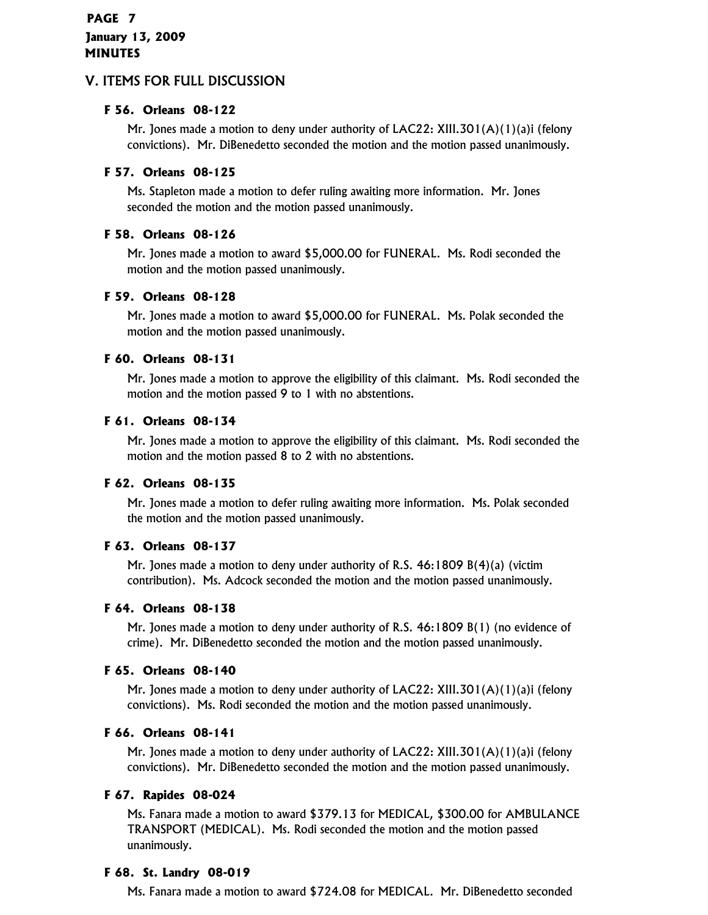## **PAGE 7 January 13, 2009 MINUTES**

## V. ITEMS FOR FULL DISCUSSION

## **F 56. Orleans 08-122**

Mr. Jones made a motion to deny under authority of LAC22: XIII.301(A)(1)(a)i (felony convictions). Mr. DiBenedetto seconded the motion and the motion passed unanimously.

#### **F 57. Orleans 08-125**

Ms. Stapleton made a motion to defer ruling awaiting more information. Mr. Jones seconded the motion and the motion passed unanimously.

#### **F 58. Orleans 08-126**

Mr. Jones made a motion to award \$5,000.00 for FUNERAL. Ms. Rodi seconded the motion and the motion passed unanimously.

#### **F 59. Orleans 08-128**

Mr. Jones made a motion to award \$5,000.00 for FUNERAL. Ms. Polak seconded the motion and the motion passed unanimously.

#### **F 60. Orleans 08-131**

Mr. Jones made a motion to approve the eligibility of this claimant. Ms. Rodi seconded the motion and the motion passed 9 to 1 with no abstentions.

#### **F 61. Orleans 08-134**

Mr. Jones made a motion to approve the eligibility of this claimant. Ms. Rodi seconded the motion and the motion passed 8 to 2 with no abstentions.

## **F 62. Orleans 08-135**

Mr. Jones made a motion to defer ruling awaiting more information. Ms. Polak seconded the motion and the motion passed unanimously.

#### **F 63. Orleans 08-137**

Mr. Jones made a motion to deny under authority of R.S. 46:1809 B(4)(a) (victim contribution). Ms. Adcock seconded the motion and the motion passed unanimously.

#### **F 64. Orleans 08-138**

Mr. Jones made a motion to deny under authority of R.S. 46:1809 B(1) (no evidence of crime). Mr. DiBenedetto seconded the motion and the motion passed unanimously.

#### **F 65. Orleans 08-140**

Mr. Jones made a motion to deny under authority of LAC22: XIII.301(A)(1)(a)i (felony convictions). Ms. Rodi seconded the motion and the motion passed unanimously.

#### **F 66. Orleans 08-141**

Mr. Jones made a motion to deny under authority of LAC22: XIII.301(A)(1)(a)i (felony convictions). Mr. DiBenedetto seconded the motion and the motion passed unanimously.

#### **F 67. Rapides 08-024**

Ms. Fanara made a motion to award \$379.13 for MEDICAL, \$300.00 for AMBULANCE TRANSPORT (MEDICAL). Ms. Rodi seconded the motion and the motion passed unanimously.

#### **F 68. St. Landry 08-019**

Ms. Fanara made a motion to award \$724.08 for MEDICAL. Mr. DiBenedetto seconded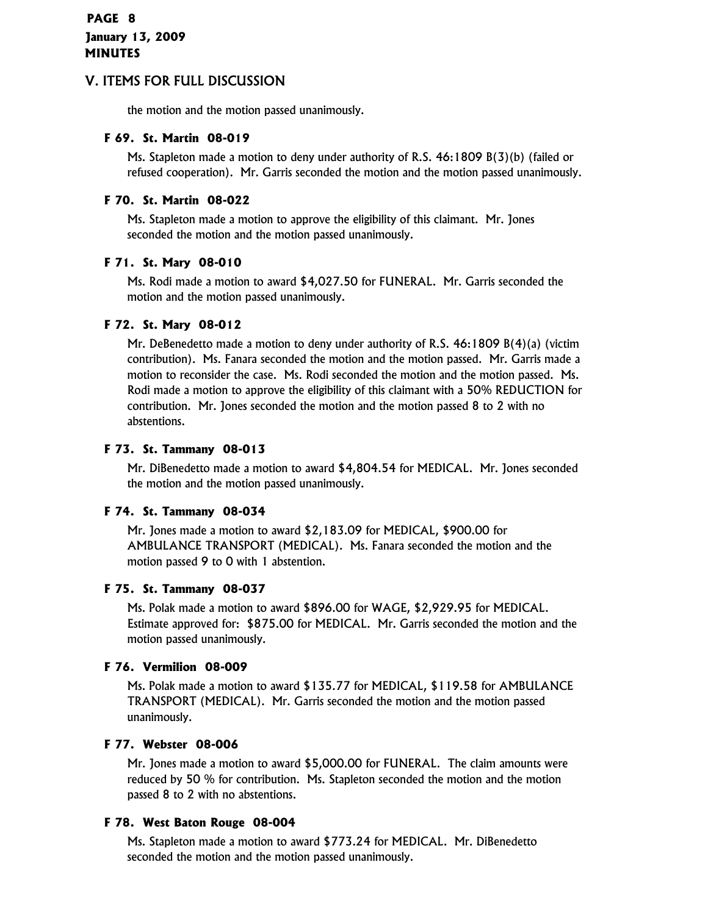the motion and the motion passed unanimously.

#### **F 69. St. Martin 08-019**

Ms. Stapleton made a motion to deny under authority of R.S. 46:1809 B(3)(b) (failed or refused cooperation). Mr. Garris seconded the motion and the motion passed unanimously.

#### **F 70. St. Martin 08-022**

Ms. Stapleton made a motion to approve the eligibility of this claimant. Mr. Jones seconded the motion and the motion passed unanimously.

#### **F 71. St. Mary 08-010**

Ms. Rodi made a motion to award \$4,027.50 for FUNERAL. Mr. Garris seconded the motion and the motion passed unanimously.

#### **F 72. St. Mary 08-012**

Mr. DeBenedetto made a motion to deny under authority of R.S. 46:1809 B(4)(a) (victim contribution). Ms. Fanara seconded the motion and the motion passed. Mr. Garris made a motion to reconsider the case. Ms. Rodi seconded the motion and the motion passed. Ms. Rodi made a motion to approve the eligibility of this claimant with a 50% REDUCTION for contribution. Mr. Jones seconded the motion and the motion passed 8 to 2 with no abstentions.

#### **F 73. St. Tammany 08-013**

Mr. DiBenedetto made a motion to award \$4,804.54 for MEDICAL. Mr. Jones seconded the motion and the motion passed unanimously.

#### **F 74. St. Tammany 08-034**

Mr. Jones made a motion to award \$2,183.09 for MEDICAL, \$900.00 for AMBULANCE TRANSPORT (MEDICAL). Ms. Fanara seconded the motion and the motion passed 9 to 0 with 1 abstention.

#### **F 75. St. Tammany 08-037**

Ms. Polak made a motion to award \$896.00 for WAGE, \$2,929.95 for MEDICAL. Estimate approved for: \$875.00 for MEDICAL. Mr. Garris seconded the motion and the motion passed unanimously.

## **F 76. Vermilion 08-009**

Ms. Polak made a motion to award \$135.77 for MEDICAL, \$119.58 for AMBULANCE TRANSPORT (MEDICAL). Mr. Garris seconded the motion and the motion passed unanimously.

#### **F 77. Webster 08-006**

Mr. Jones made a motion to award \$5,000.00 for FUNERAL. The claim amounts were reduced by 50 % for contribution. Ms. Stapleton seconded the motion and the motion passed 8 to 2 with no abstentions.

## **F 78. West Baton Rouge 08-004**

Ms. Stapleton made a motion to award \$773.24 for MEDICAL. Mr. DiBenedetto seconded the motion and the motion passed unanimously.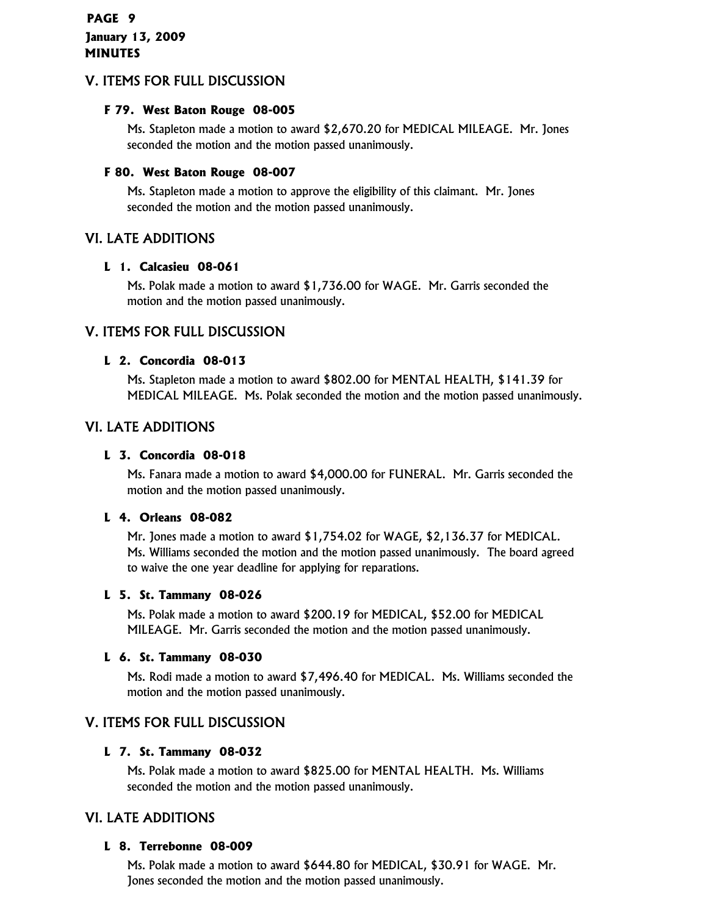## **F 79. West Baton Rouge 08-005**

Ms. Stapleton made a motion to award \$2,670.20 for MEDICAL MILEAGE. Mr. Jones seconded the motion and the motion passed unanimously.

## **F 80. West Baton Rouge 08-007**

Ms. Stapleton made a motion to approve the eligibility of this claimant. Mr. Jones seconded the motion and the motion passed unanimously.

## VI. LATE ADDITIONS

## **L 1. Calcasieu 08-061**

Ms. Polak made a motion to award \$1,736.00 for WAGE. Mr. Garris seconded the motion and the motion passed unanimously.

## V. ITEMS FOR FULL DISCUSSION

## **L 2. Concordia 08-013**

Ms. Stapleton made a motion to award \$802.00 for MENTAL HEALTH, \$141.39 for MEDICAL MILEAGE. Ms. Polak seconded the motion and the motion passed unanimously.

## VI. LATE ADDITIONS

## **L 3. Concordia 08-018**

Ms. Fanara made a motion to award \$4,000.00 for FUNERAL. Mr. Garris seconded the motion and the motion passed unanimously.

## **L 4. Orleans 08-082**

Mr. Jones made a motion to award \$1,754.02 for WAGE, \$2,136.37 for MEDICAL. Ms. Williams seconded the motion and the motion passed unanimously. The board agreed to waive the one year deadline for applying for reparations.

## **L 5. St. Tammany 08-026**

Ms. Polak made a motion to award \$200.19 for MEDICAL, \$52.00 for MEDICAL MILEAGE. Mr. Garris seconded the motion and the motion passed unanimously.

## **L 6. St. Tammany 08-030**

Ms. Rodi made a motion to award \$7,496.40 for MEDICAL. Ms. Williams seconded the motion and the motion passed unanimously.

## V. ITEMS FOR FULL DISCUSSION

## **L 7. St. Tammany 08-032**

Ms. Polak made a motion to award \$825.00 for MENTAL HEALTH. Ms. Williams seconded the motion and the motion passed unanimously.

## VI. LATE ADDITIONS

## **L 8. Terrebonne 08-009**

Ms. Polak made a motion to award \$644.80 for MEDICAL, \$30.91 for WAGE. Mr. Jones seconded the motion and the motion passed unanimously.